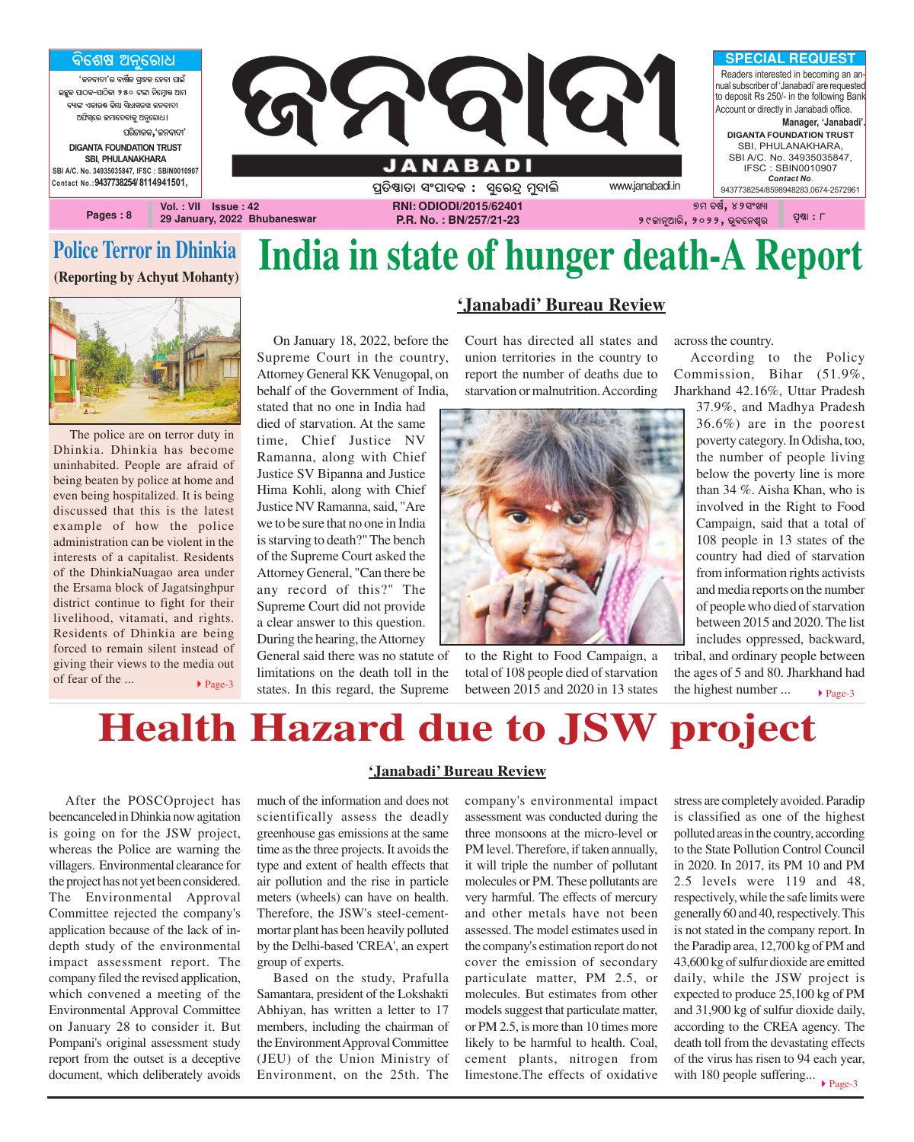

### **Police Terror in Dhinkia**

**(Reporting by Achyut Mohanty)**



The police are on terror duty in Dhinkia. Dhinkia has become uninhabited. People are afraid of being beaten by police at home and even being hospitalized. It is being discussed that this is the latest example of how the police administration can be violent in the interests of a capitalist. Residents of the DhinkiaNuagao area under the Ersama block of Jagatsinghpur district continue to fight for their livelihood, vitamati, and rights. Residents of Dhinkia are being forced to remain silent instead of giving their views to the media out of fear of the ... ▶ Page-3

**India in state of hunger death-A Report 'Janabadi' Bureau Review**

On January 18, 2022, before the Supreme Court in the country, Attorney General KK Venugopal, on behalf of the Government of India,

stated that no one in India had died of starvation. At the same time, Chief Justice NV Ramanna, along with Chief Justice SV Bipanna and Justice Hima Kohli, along with Chief Justice NV Ramanna, said, "Are we to be sure that no one in India is starving to death?" The bench of the Supreme Court asked the Attorney General, "Can there be any record of this?" The Supreme Court did not provide a clear answer to this question. During the hearing, the Attorney

General said there was no statute of limitations on the death toll in the states. In this regard, the Supreme

Court has directed all states and union territories in the country to report the number of deaths due to starvation or malnutrition. According



to the Right to Food Campaign, a total of 108 people died of starvation between 2015 and 2020 in 13 states across the country.

According to the Policy Commission, Bihar (51.9%, Jharkhand 42.16%, Uttar Pradesh

37.9%, and Madhya Pradesh 36.6%) are in the poorest poverty category. In Odisha, too, the number of people living below the poverty line is more than 34 %. Aisha Khan, who is involved in the Right to Food Campaign, said that a total of 108 people in 13 states of the country had died of starvation from information rights activists and media reports on the number of people who died of starvation between 2015 and 2020. The list includes oppressed, backward,

 $\blacktriangleright$  Page-3 tribal, and ordinary people between the ages of 5 and 80. Jharkhand had the highest number ...

## **Health Hazard due to JSW project**

After the POSCOproject has beencanceled in Dhinkia now agitation is going on for the JSW project, whereas the Police are warning the villagers. Environmental clearance for the project has not yet been considered. The Environmental Approval Committee rejected the company's application because of the lack of indepth study of the environmental impact assessment report. The company filed the revised application, which convened a meeting of the Environmental Approval Committee on January 28 to consider it. But Pompani's original assessment study report from the outset is a deceptive document, which deliberately avoids

#### **'Janabadi' Bureau Review**

much of the information and does not scientifically assess the deadly greenhouse gas emissions at the same time as the three projects. It avoids the type and extent of health effects that air pollution and the rise in particle meters (wheels) can have on health. Therefore, the JSW's steel-cementmortar plant has been heavily polluted by the Delhi-based 'CREA', an expert group of experts.

Based on the study, Prafulla Samantara, president of the Lokshakti Abhiyan, has written a letter to 17 members, including the chairman of the Environment Approval Committee (JEU) of the Union Ministry of Environment, on the 25th. The company's environmental impact assessment was conducted during the three monsoons at the micro-level or PM level. Therefore, if taken annually, it will triple the number of pollutant molecules or PM. These pollutants are very harmful. The effects of mercury and other metals have not been assessed. The model estimates used in the company's estimation report do not cover the emission of secondary particulate matter, PM 2.5, or molecules. But estimates from other models suggest that particulate matter, or PM 2.5, is more than 10 times more likely to be harmful to health. Coal, cement plants, nitrogen from limestone.The effects of oxidative

with 180 people suffering...  $\rho_{\text{age-3}}$ stress are completely avoided. Paradip is classified as one of the highest polluted areas in the country, according to the State Pollution Control Council in 2020. In 2017, its PM 10 and PM 2.5 levels were 119 and 48, respectively, while the safe limits were generally 60 and 40, respectively. This is not stated in the company report. In the Paradip area, 12,700 kg of PM and 43,600 kg of sulfur dioxide are emitted daily, while the JSW project is expected to produce 25,100 kg of PM and 31,900 kg of sulfur dioxide daily, according to the CREA agency. The death toll from the devastating effects of the virus has risen to 94 each year,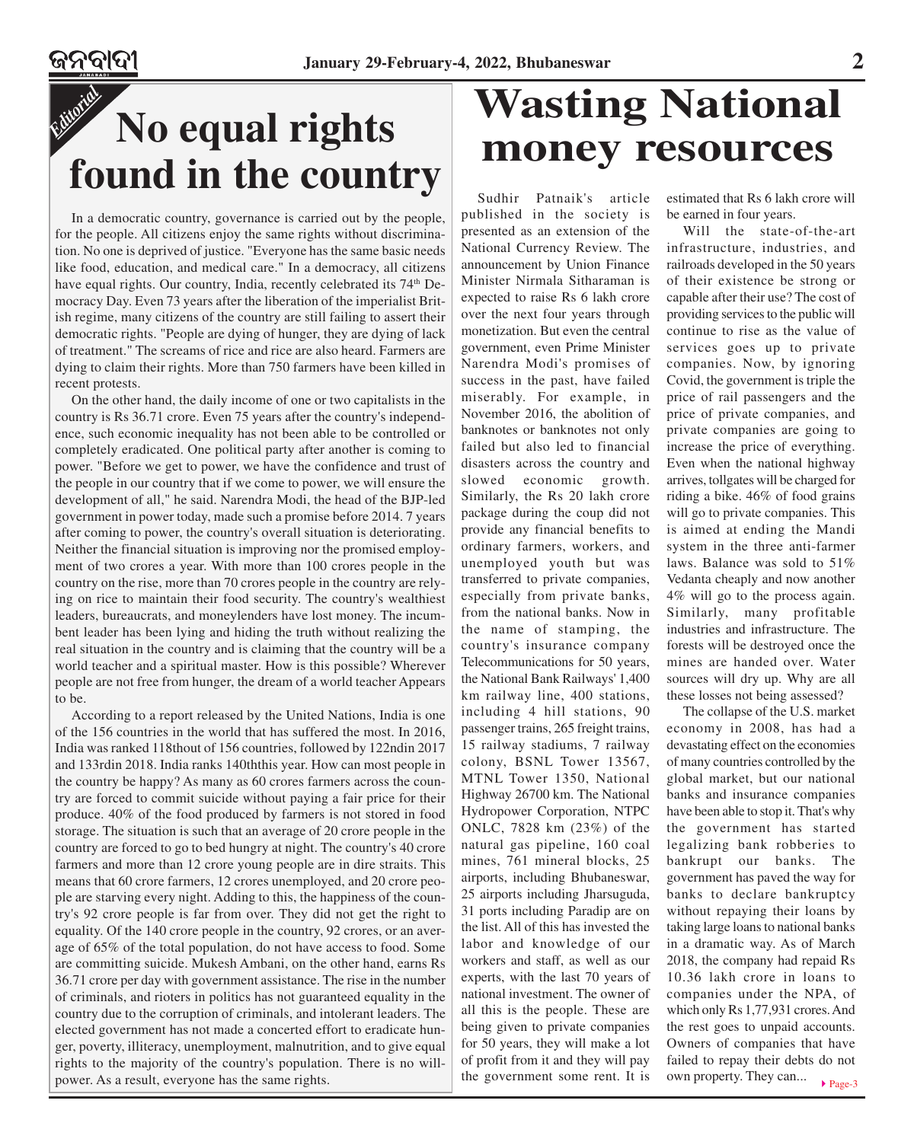In a democratic country, governance is carried out by the people, for the people. All citizens enjoy the same rights without discrimination. No one is deprived of justice. "Everyone has the same basic needs like food, education, and medical care." In a democracy, all citizens have equal rights. Our country, India, recently celebrated its 74<sup>th</sup> Democracy Day. Even 73 years after the liberation of the imperialist British regime, many citizens of the country are still failing to assert their democratic rights. "People are dying of hunger, they are dying of lack of treatment." The screams of rice and rice are also heard. Farmers are dying to claim their rights. More than 750 farmers have been killed in recent protests.

On the other hand, the daily income of one or two capitalists in the country is Rs 36.71 crore. Even 75 years after the country's independence, such economic inequality has not been able to be controlled or completely eradicated. One political party after another is coming to power. "Before we get to power, we have the confidence and trust of the people in our country that if we come to power, we will ensure the development of all," he said. Narendra Modi, the head of the BJP-led government in power today, made such a promise before 2014. 7 years after coming to power, the country's overall situation is deteriorating. Neither the financial situation is improving nor the promised employment of two crores a year. With more than 100 crores people in the country on the rise, more than 70 crores people in the country are relying on rice to maintain their food security. The country's wealthiest leaders, bureaucrats, and moneylenders have lost money. The incumbent leader has been lying and hiding the truth without realizing the real situation in the country and is claiming that the country will be a world teacher and a spiritual master. How is this possible? Wherever people are not free from hunger, the dream of a world teacher Appears to be.

According to a report released by the United Nations, India is one of the 156 countries in the world that has suffered the most. In 2016, India was ranked 118thout of 156 countries, followed by 122ndin 2017 and 133rdin 2018. India ranks 140ththis year. How can most people in the country be happy? As many as 60 crores farmers across the country are forced to commit suicide without paying a fair price for their produce. 40% of the food produced by farmers is not stored in food storage. The situation is such that an average of 20 crore people in the country are forced to go to bed hungry at night. The country's 40 crore farmers and more than 12 crore young people are in dire straits. This means that 60 crore farmers, 12 crores unemployed, and 20 crore people are starving every night. Adding to this, the happiness of the country's 92 crore people is far from over. They did not get the right to equality. Of the 140 crore people in the country, 92 crores, or an average of 65% of the total population, do not have access to food. Some are committing suicide. Mukesh Ambani, on the other hand, earns Rs 36.71 crore per day with government assistance. The rise in the number of criminals, and rioters in politics has not guaranteed equality in the country due to the corruption of criminals, and intolerant leaders. The elected government has not made a concerted effort to eradicate hunger, poverty, illiteracy, unemployment, malnutrition, and to give equal rights to the majority of the country's population. There is no willpower. As a result, everyone has the same rights.

## **Wasting National money resources**

Sudhir Patnaik's article published in the society is presented as an extension of the National Currency Review. The announcement by Union Finance Minister Nirmala Sitharaman is expected to raise Rs 6 lakh crore over the next four years through monetization. But even the central government, even Prime Minister Narendra Modi's promises of success in the past, have failed miserably. For example, in November 2016, the abolition of banknotes or banknotes not only failed but also led to financial disasters across the country and slowed economic growth. Similarly, the Rs 20 lakh crore package during the coup did not provide any financial benefits to ordinary farmers, workers, and unemployed youth but was transferred to private companies, especially from private banks, from the national banks. Now in the name of stamping, the country's insurance company Telecommunications for 50 years, the National Bank Railways' 1,400 km railway line, 400 stations, including 4 hill stations, 90 passenger trains, 265 freight trains, 15 railway stadiums, 7 railway colony, BSNL Tower 13567, MTNL Tower 1350, National Highway 26700 km. The National Hydropower Corporation, NTPC ONLC, 7828 km (23%) of the natural gas pipeline, 160 coal mines, 761 mineral blocks, 25 airports, including Bhubaneswar, 25 airports including Jharsuguda, 31 ports including Paradip are on the list. All of this has invested the labor and knowledge of our workers and staff, as well as our experts, with the last 70 years of national investment. The owner of all this is the people. These are being given to private companies for 50 years, they will make a lot of profit from it and they will pay the government some rent. It is

estimated that Rs 6 lakh crore will be earned in four years.

Will the state-of-the-art infrastructure, industries, and railroads developed in the 50 years of their existence be strong or capable after their use? The cost of providing services to the public will continue to rise as the value of services goes up to private companies. Now, by ignoring Covid, the government is triple the price of rail passengers and the price of private companies, and private companies are going to increase the price of everything. Even when the national highway arrives, tollgates will be charged for riding a bike. 46% of food grains will go to private companies. This is aimed at ending the Mandi system in the three anti-farmer laws. Balance was sold to 51% Vedanta cheaply and now another 4% will go to the process again. Similarly, many profitable industries and infrastructure. The forests will be destroyed once the mines are handed over. Water sources will dry up. Why are all these losses not being assessed?

▶ Page-3 The collapse of the U.S. market economy in 2008, has had a devastating effect on the economies of many countries controlled by the global market, but our national banks and insurance companies have been able to stop it. That's why the government has started legalizing bank robberies to bankrupt our banks. The government has paved the way for banks to declare bankruptcy without repaying their loans by taking large loans to national banks in a dramatic way. As of March 2018, the company had repaid Rs 10.36 lakh crore in loans to companies under the NPA, of which only Rs 1,77,931 crores. And the rest goes to unpaid accounts. Owners of companies that have failed to repay their debts do not own property. They can...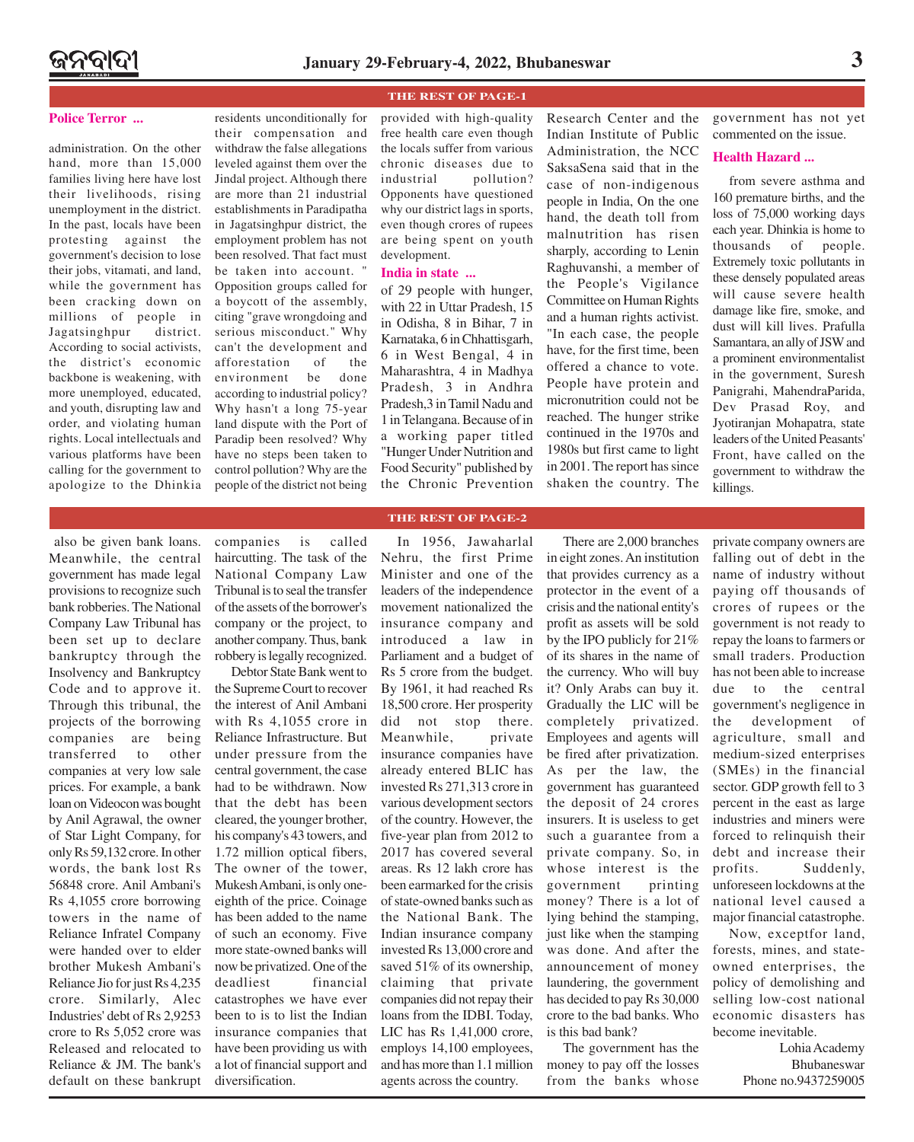#### **Police Terror ...**

administration. On the other hand, more than  $15,000$ families living here have lost their livelihoods, rising unemployment in the district. In the past, locals have been protesting against the government's decision to lose their jobs, vitamati, and land, while the government has been cracking down on millions of people in Jagatsinghpur district. According to social activists, the district's economic backbone is weakening, with more unemployed, educated, and youth, disrupting law and order, and violating human rights. Local intellectuals and various platforms have been calling for the government to apologize to the Dhinkia residents unconditionally for their compensation and withdraw the false allegations leveled against them over the Jindal project. Although there are more than 21 industrial establishments in Paradipatha in Jagatsinghpur district, the employment problem has not been resolved. That fact must be taken into account. " Opposition groups called for a boycott of the assembly, citing "grave wrongdoing and serious misconduct." Why can't the development and afforestation of the environment be done according to industrial policy? Why hasn't a long 75-year land dispute with the Port of Paradip been resolved? Why have no steps been taken to control pollution? Why are the people of the district not being

#### **THE REST OF PAGE-1**

provided with high-quality free health care even though the locals suffer from various chronic diseases due to industrial pollution? Opponents have questioned why our district lags in sports, even though crores of rupees are being spent on youth development.

#### **India in state ...**

of 29 people with hunger, with 22 in Uttar Pradesh, 15 in Odisha, 8 in Bihar, 7 in Karnataka, 6 in Chhattisgarh, 6 in West Bengal, 4 in Maharashtra, 4 in Madhya Pradesh, 3 in Andhra Pradesh,3 in Tamil Nadu and 1 in Telangana. Because of in a working paper titled "Hunger Under Nutrition and Food Security" published by the Chronic Prevention

Research Center and the Indian Institute of Public Administration, the NCC SaksaSena said that in the case of non-indigenous people in India, On the one hand, the death toll from malnutrition has risen sharply, according to Lenin Raghuvanshi, a member of the People's Vigilance Committee on Human Rights and a human rights activist. "In each case, the people have, for the first time, been offered a chance to vote. People have protein and micronutrition could not be reached. The hunger strike continued in the 1970s and 1980s but first came to light in 2001. The report has since shaken the country. The

government has not yet commented on the issue.

#### **Health Hazard ...**

from severe asthma and 160 premature births, and the loss of 75,000 working days each year. Dhinkia is home to thousands of people. Extremely toxic pollutants in these densely populated areas will cause severe health damage like fire, smoke, and dust will kill lives. Prafulla Samantara, an ally of JSW and a prominent environmentalist in the government, Suresh Panigrahi, MahendraParida, Dev Prasad Roy, and Jyotiranjan Mohapatra, state leaders of the United Peasants' Front, have called on the government to withdraw the killings.

#### also be given bank loans. Meanwhile, the central government has made legal provisions to recognize such bank robberies. The National Company Law Tribunal has been set up to declare bankruptcy through the Insolvency and Bankruptcy Code and to approve it. Through this tribunal, the projects of the borrowing companies are being transferred to other companies at very low sale prices. For example, a bank loan on Videocon was bought by Anil Agrawal, the owner of Star Light Company, for only Rs 59,132 crore. In other words, the bank lost Rs 56848 crore. Anil Ambani's Rs 4,1055 crore borrowing towers in the name of Reliance Infratel Company were handed over to elder brother Mukesh Ambani's Reliance Jio for just Rs 4,235 crore. Similarly, Alec Industries' debt of Rs 2,9253 crore to Rs 5,052 crore was Released and relocated to Reliance & JM. The bank's default on these bankrupt

companies is called haircutting. The task of the National Company Law Tribunal is to seal the transfer of the assets of the borrower's company or the project, to another company. Thus, bank robbery is legally recognized.

Debtor State Bank went to the Supreme Court to recover the interest of Anil Ambani with Rs 4,1055 crore in Reliance Infrastructure. But under pressure from the central government, the case had to be withdrawn. Now that the debt has been cleared, the younger brother, his company's 43 towers, and 1.72 million optical fibers, The owner of the tower, Mukesh Ambani, is only oneeighth of the price. Coinage has been added to the name of such an economy. Five more state-owned banks will now be privatized. One of the deadliest financial catastrophes we have ever been to is to list the Indian insurance companies that have been providing us with a lot of financial support and diversification.

### **THE REST OF PAGE-2**

In 1956, Jawaharlal Nehru, the first Prime Minister and one of the leaders of the independence movement nationalized the insurance company and introduced a law in Parliament and a budget of Rs 5 crore from the budget. By 1961, it had reached Rs 18,500 crore. Her prosperity did not stop there. Meanwhile, private insurance companies have already entered BLIC has invested Rs 271,313 crore in various development sectors of the country. However, the five-year plan from 2012 to 2017 has covered several areas. Rs 12 lakh crore has been earmarked for the crisis of state-owned banks such as the National Bank. The Indian insurance company invested Rs 13,000 crore and saved 51% of its ownership, claiming that private companies did not repay their loans from the IDBI. Today, LIC has Rs 1,41,000 crore, employs 14,100 employees, and has more than 1.1 million agents across the country.

There are 2,000 branches in eight zones. An institution that provides currency as a protector in the event of a crisis and the national entity's profit as assets will be sold by the IPO publicly for 21% of its shares in the name of the currency. Who will buy it? Only Arabs can buy it. Gradually the LIC will be completely privatized. Employees and agents will be fired after privatization. As per the law, the government has guaranteed the deposit of 24 crores insurers. It is useless to get such a guarantee from a private company. So, in whose interest is the government printing money? There is a lot of lying behind the stamping, just like when the stamping was done. And after the announcement of money laundering, the government has decided to pay Rs 30,000 crore to the bad banks. Who is this bad bank?

The government has the money to pay off the losses from the banks whose private company owners are falling out of debt in the name of industry without paying off thousands of crores of rupees or the government is not ready to repay the loans to farmers or small traders. Production has not been able to increase due to the central government's negligence in the development of agriculture, small and medium-sized enterprises (SMEs) in the financial sector. GDP growth fell to 3 percent in the east as large industries and miners were forced to relinquish their debt and increase their profits. Suddenly, unforeseen lockdowns at the national level caused a major financial catastrophe.

Now, exceptfor land, forests, mines, and stateowned enterprises, the policy of demolishing and selling low-cost national economic disasters has become inevitable.

> Lohia Academy Bhubaneswar Phone no.9437259005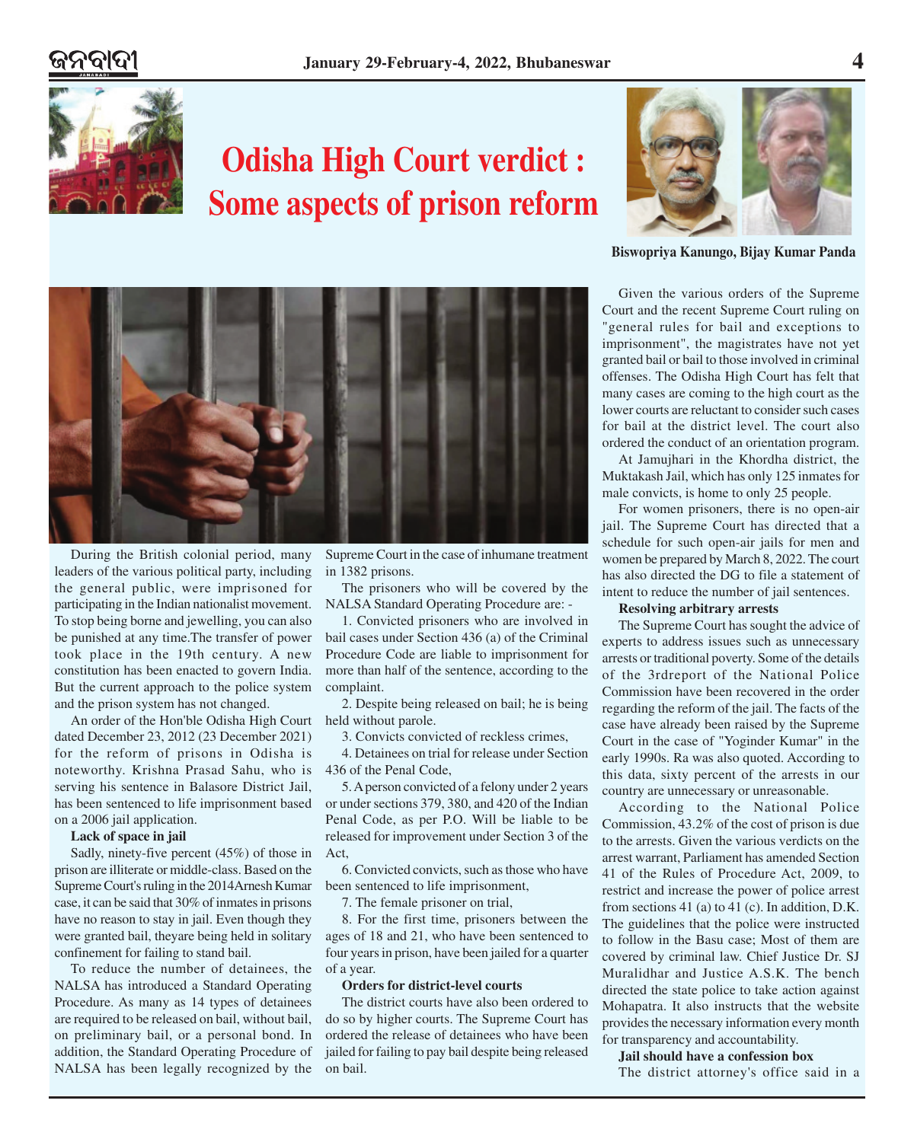

### **Odisha High Court verdict : Some aspects of prison reform**



**Biswopriya Kanungo, Bijay Kumar Panda**

Given the various orders of the Supreme Court and the recent Supreme Court ruling on "general rules for bail and exceptions to imprisonment", the magistrates have not yet granted bail or bail to those involved in criminal offenses. The Odisha High Court has felt that many cases are coming to the high court as the lower courts are reluctant to consider such cases for bail at the district level. The court also ordered the conduct of an orientation program.

At Jamujhari in the Khordha district, the Muktakash Jail, which has only 125 inmates for male convicts, is home to only 25 people.

For women prisoners, there is no open-air jail. The Supreme Court has directed that a schedule for such open-air jails for men and women be prepared by March 8, 2022. The court has also directed the DG to file a statement of intent to reduce the number of jail sentences.

#### **Resolving arbitrary arrests**

The Supreme Court has sought the advice of experts to address issues such as unnecessary arrests or traditional poverty. Some of the details of the 3rdreport of the National Police Commission have been recovered in the order regarding the reform of the jail. The facts of the case have already been raised by the Supreme Court in the case of "Yoginder Kumar" in the early 1990s. Ra was also quoted. According to this data, sixty percent of the arrests in our country are unnecessary or unreasonable.

According to the National Police Commission, 43.2% of the cost of prison is due to the arrests. Given the various verdicts on the arrest warrant, Parliament has amended Section 41 of the Rules of Procedure Act, 2009, to restrict and increase the power of police arrest from sections 41 (a) to 41 (c). In addition, D.K. The guidelines that the police were instructed to follow in the Basu case; Most of them are covered by criminal law. Chief Justice Dr. SJ Muralidhar and Justice A.S.K. The bench directed the state police to take action against Mohapatra. It also instructs that the website provides the necessary information every month for transparency and accountability.

#### **Jail should have a confession box**

The district attorney's office said in a



During the British colonial period, many leaders of the various political party, including the general public, were imprisoned for participating in the Indian nationalist movement. To stop being borne and jewelling, you can also be punished at any time.The transfer of power took place in the 19th century. A new constitution has been enacted to govern India. But the current approach to the police system and the prison system has not changed.

An order of the Hon'ble Odisha High Court held without parole. dated December 23, 2012 (23 December 2021) for the reform of prisons in Odisha is noteworthy. Krishna Prasad Sahu, who is serving his sentence in Balasore District Jail, has been sentenced to life imprisonment based on a 2006 jail application.

#### **Lack of space in jail**

Sadly, ninety-five percent (45%) of those in prison are illiterate or middle-class. Based on the Supreme Court's ruling in the 2014Arnesh Kumar case, it can be said that 30% of inmates in prisons have no reason to stay in jail. Even though they were granted bail, theyare being held in solitary confinement for failing to stand bail.

To reduce the number of detainees, the NALSA has introduced a Standard Operating Procedure. As many as 14 types of detainees are required to be released on bail, without bail, on preliminary bail, or a personal bond. In addition, the Standard Operating Procedure of NALSA has been legally recognized by the

Supreme Court in the case of inhumane treatment in 1382 prisons.

The prisoners who will be covered by the NALSA Standard Operating Procedure are: -

1. Convicted prisoners who are involved in bail cases under Section 436 (a) of the Criminal Procedure Code are liable to imprisonment for more than half of the sentence, according to the complaint.

2. Despite being released on bail; he is being

3. Convicts convicted of reckless crimes,

4. Detainees on trial for release under Section 436 of the Penal Code,

5. A person convicted of a felony under 2 years or under sections 379, 380, and 420 of the Indian Penal Code, as per P.O. Will be liable to be released for improvement under Section 3 of the Act,

6. Convicted convicts, such as those who have been sentenced to life imprisonment,

7. The female prisoner on trial,

8. For the first time, prisoners between the ages of 18 and 21, who have been sentenced to four years in prison, have been jailed for a quarter of a year.

#### **Orders for district-level courts**

The district courts have also been ordered to do so by higher courts. The Supreme Court has ordered the release of detainees who have been jailed for failing to pay bail despite being released on bail.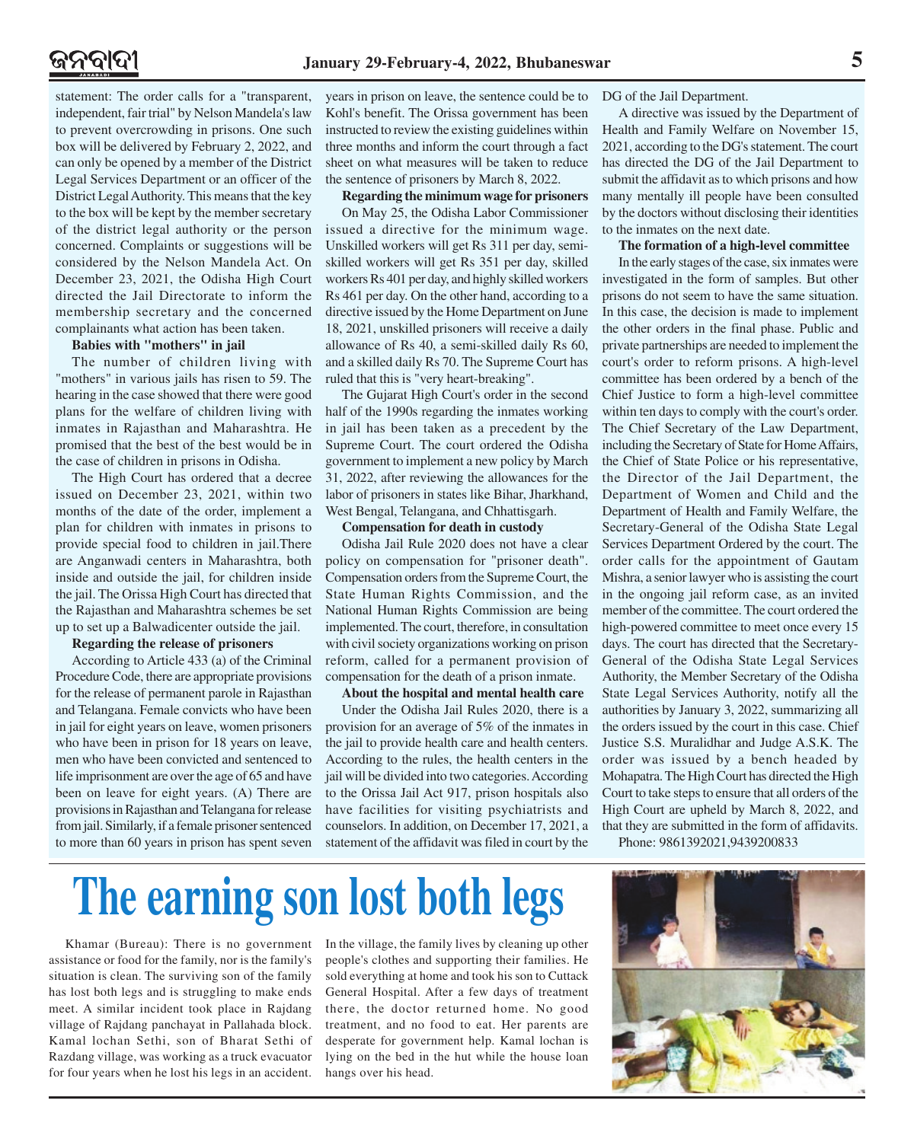statement: The order calls for a "transparent, independent, fair trial" by Nelson Mandela's law to prevent overcrowding in prisons. One such box will be delivered by February 2, 2022, and can only be opened by a member of the District Legal Services Department or an officer of the District Legal Authority. This means that the key to the box will be kept by the member secretary of the district legal authority or the person concerned. Complaints or suggestions will be considered by the Nelson Mandela Act. On December 23, 2021, the Odisha High Court directed the Jail Directorate to inform the membership secretary and the concerned complainants what action has been taken.

#### **Babies with "mothers" in jail**

The number of children living with "mothers" in various jails has risen to 59. The hearing in the case showed that there were good plans for the welfare of children living with inmates in Rajasthan and Maharashtra. He promised that the best of the best would be in the case of children in prisons in Odisha.

The High Court has ordered that a decree issued on December 23, 2021, within two months of the date of the order, implement a plan for children with inmates in prisons to provide special food to children in jail.There are Anganwadi centers in Maharashtra, both inside and outside the jail, for children inside the jail. The Orissa High Court has directed that the Rajasthan and Maharashtra schemes be set up to set up a Balwadicenter outside the jail.

#### **Regarding the release of prisoners**

According to Article 433 (a) of the Criminal Procedure Code, there are appropriate provisions for the release of permanent parole in Rajasthan and Telangana. Female convicts who have been in jail for eight years on leave, women prisoners who have been in prison for 18 years on leave, men who have been convicted and sentenced to life imprisonment are over the age of 65 and have been on leave for eight years. (A) There are provisions in Rajasthan and Telangana for release from jail. Similarly, if a female prisoner sentenced to more than 60 years in prison has spent seven years in prison on leave, the sentence could be to Kohl's benefit. The Orissa government has been instructed to review the existing guidelines within three months and inform the court through a fact sheet on what measures will be taken to reduce the sentence of prisoners by March 8, 2022.

#### **Regarding the minimum wage for prisoners**

On May 25, the Odisha Labor Commissioner issued a directive for the minimum wage. Unskilled workers will get Rs 311 per day, semiskilled workers will get Rs 351 per day, skilled workers Rs 401 per day, and highly skilled workers Rs 461 per day. On the other hand, according to a directive issued by the Home Department on June 18, 2021, unskilled prisoners will receive a daily allowance of Rs 40, a semi-skilled daily Rs 60, and a skilled daily Rs 70. The Supreme Court has ruled that this is "very heart-breaking".

The Gujarat High Court's order in the second half of the 1990s regarding the inmates working in jail has been taken as a precedent by the Supreme Court. The court ordered the Odisha government to implement a new policy by March 31, 2022, after reviewing the allowances for the labor of prisoners in states like Bihar, Jharkhand, West Bengal, Telangana, and Chhattisgarh.

#### **Compensation for death in custody**

Odisha Jail Rule 2020 does not have a clear policy on compensation for "prisoner death". Compensation orders from the Supreme Court, the State Human Rights Commission, and the National Human Rights Commission are being implemented. The court, therefore, in consultation with civil society organizations working on prison reform, called for a permanent provision of compensation for the death of a prison inmate.

#### **About the hospital and mental health care**

Under the Odisha Jail Rules 2020, there is a provision for an average of 5% of the inmates in the jail to provide health care and health centers. According to the rules, the health centers in the jail will be divided into two categories. According to the Orissa Jail Act 917, prison hospitals also have facilities for visiting psychiatrists and counselors. In addition, on December 17, 2021, a statement of the affidavit was filed in court by the DG of the Jail Department.

A directive was issued by the Department of Health and Family Welfare on November 15, 2021, according to the DG's statement. The court has directed the DG of the Jail Department to submit the affidavit as to which prisons and how many mentally ill people have been consulted by the doctors without disclosing their identities to the inmates on the next date.

#### **The formation of a high-level committee**

In the early stages of the case, six inmates were investigated in the form of samples. But other prisons do not seem to have the same situation. In this case, the decision is made to implement the other orders in the final phase. Public and private partnerships are needed to implement the court's order to reform prisons. A high-level committee has been ordered by a bench of the Chief Justice to form a high-level committee within ten days to comply with the court's order. The Chief Secretary of the Law Department, including the Secretary of State for Home Affairs, the Chief of State Police or his representative, the Director of the Jail Department, the Department of Women and Child and the Department of Health and Family Welfare, the Secretary-General of the Odisha State Legal Services Department Ordered by the court. The order calls for the appointment of Gautam Mishra, a senior lawyer who is assisting the court in the ongoing jail reform case, as an invited member of the committee. The court ordered the high-powered committee to meet once every 15 days. The court has directed that the Secretary-General of the Odisha State Legal Services Authority, the Member Secretary of the Odisha State Legal Services Authority, notify all the authorities by January 3, 2022, summarizing all the orders issued by the court in this case. Chief Justice S.S. Muralidhar and Judge A.S.K. The order was issued by a bench headed by Mohapatra. The High Court has directed the High Court to take steps to ensure that all orders of the High Court are upheld by March 8, 2022, and that they are submitted in the form of affidavits.

Phone: 9861392021,9439200833

# **The earning son lost both legs**

Khamar (Bureau): There is no government assistance or food for the family, nor is the family's situation is clean. The surviving son of the family has lost both legs and is struggling to make ends meet. A similar incident took place in Rajdang village of Rajdang panchayat in Pallahada block. Kamal lochan Sethi, son of Bharat Sethi of Razdang village, was working as a truck evacuator for four years when he lost his legs in an accident.

In the village, the family lives by cleaning up other people's clothes and supporting their families. He sold everything at home and took his son to Cuttack General Hospital. After a few days of treatment there, the doctor returned home. No good treatment, and no food to eat. Her parents are desperate for government help. Kamal lochan is lying on the bed in the hut while the house loan hangs over his head.

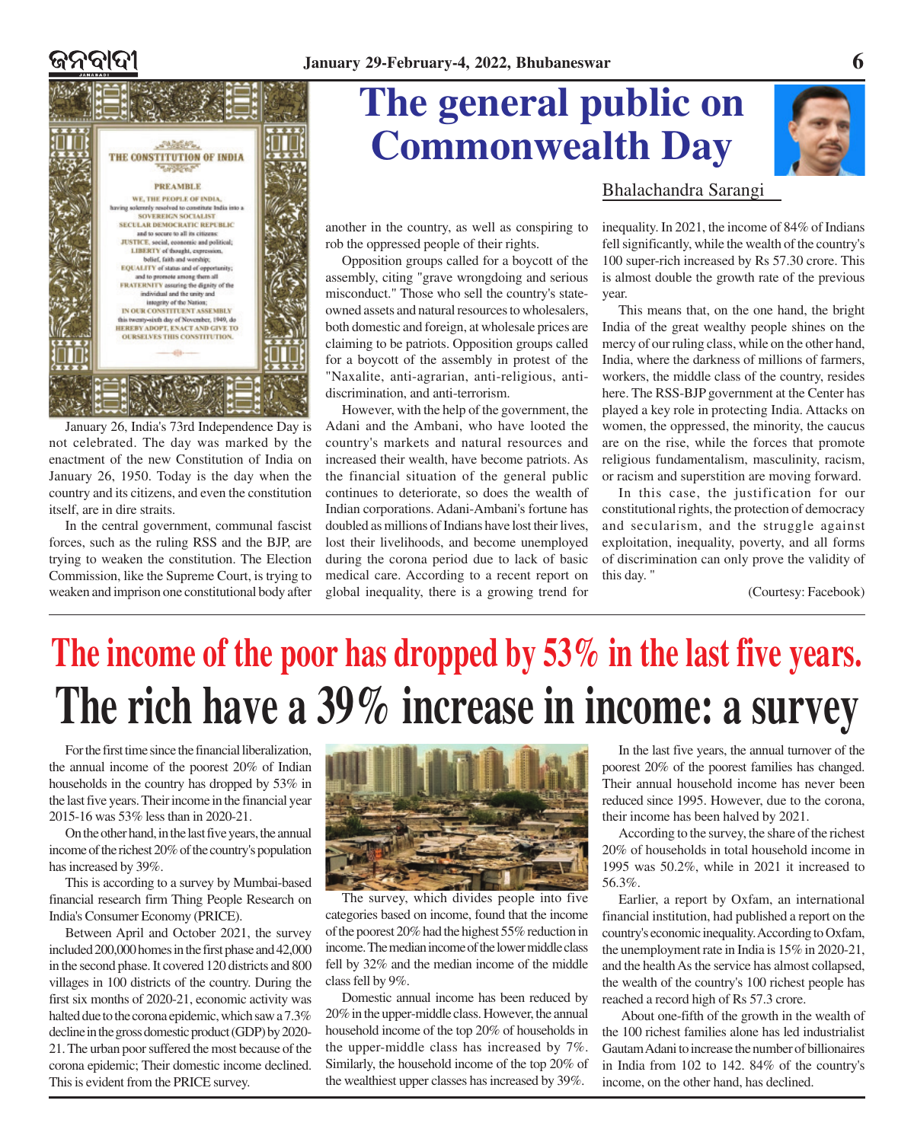

January 26, India's 73rd Independence Day is not celebrated. The day was marked by the enactment of the new Constitution of India on January 26, 1950. Today is the day when the country and its citizens, and even the constitution itself, are in dire straits.

In the central government, communal fascist forces, such as the ruling RSS and the BJP, are trying to weaken the constitution. The Election Commission, like the Supreme Court, is trying to weaken and imprison one constitutional body after

## **The general public on Commonwealth Day**



another in the country, as well as conspiring to rob the oppressed people of their rights.

Opposition groups called for a boycott of the assembly, citing "grave wrongdoing and serious misconduct." Those who sell the country's stateowned assets and natural resources to wholesalers, both domestic and foreign, at wholesale prices are claiming to be patriots. Opposition groups called for a boycott of the assembly in protest of the "Naxalite, anti-agrarian, anti-religious, antidiscrimination, and anti-terrorism.

However, with the help of the government, the Adani and the Ambani, who have looted the country's markets and natural resources and increased their wealth, have become patriots. As the financial situation of the general public continues to deteriorate, so does the wealth of Indian corporations. Adani-Ambani's fortune has doubled as millions of Indians have lost their lives, lost their livelihoods, and become unemployed during the corona period due to lack of basic medical care. According to a recent report on global inequality, there is a growing trend for

### Bhalachandra Sarangi

inequality. In 2021, the income of 84% of Indians fell significantly, while the wealth of the country's 100 super-rich increased by Rs 57.30 crore. This is almost double the growth rate of the previous year.

This means that, on the one hand, the bright India of the great wealthy people shines on the mercy of our ruling class, while on the other hand, India, where the darkness of millions of farmers, workers, the middle class of the country, resides here. The RSS-BJP government at the Center has played a key role in protecting India. Attacks on women, the oppressed, the minority, the caucus are on the rise, while the forces that promote religious fundamentalism, masculinity, racism, or racism and superstition are moving forward.

In this case, the justification for our constitutional rights, the protection of democracy and secularism, and the struggle against exploitation, inequality, poverty, and all forms of discrimination can only prove the validity of this day. "

(Courtesy: Facebook)

# **The income of the poor has dropped by 53% in the last five years. The rich have a 39% increase in income: a survey**

For the first time since the financial liberalization, the annual income of the poorest 20% of Indian households in the country has dropped by 53% in the last five years. Their income in the financial year 2015-16 was 53% less than in 2020-21.

On the other hand, in the last five years, the annual income of the richest 20% of the country's population has increased by 39%.

This is according to a survey by Mumbai-based financial research firm Thing People Research on India's Consumer Economy (PRICE).

Between April and October 2021, the survey included 200,000 homes in the first phase and 42,000 in the second phase. It covered 120 districts and 800 villages in 100 districts of the country. During the first six months of 2020-21, economic activity was halted due to the corona epidemic, which saw a 7.3% decline in the gross domestic product (GDP) by 2020- 21. The urban poor suffered the most because of the corona epidemic; Their domestic income declined. This is evident from the PRICE survey.



The survey, which divides people into five categories based on income, found that the income of the poorest 20% had the highest 55% reduction in income. The median income of the lower middle class fell by 32% and the median income of the middle class fell by 9%.

Domestic annual income has been reduced by 20% in the upper-middle class. However, the annual household income of the top 20% of households in the upper-middle class has increased by 7%. Similarly, the household income of the top 20% of the wealthiest upper classes has increased by 39%.

In the last five years, the annual turnover of the poorest 20% of the poorest families has changed. Their annual household income has never been reduced since 1995. However, due to the corona, their income has been halved by 2021.

According to the survey, the share of the richest 20% of households in total household income in 1995 was 50.2%, while in 2021 it increased to 56.3%.

Earlier, a report by Oxfam, an international financial institution, had published a report on the country's economic inequality. According to Oxfam, the unemployment rate in India is 15% in 2020-21, and the health As the service has almost collapsed, the wealth of the country's 100 richest people has reached a record high of Rs 57.3 crore.

About one-fifth of the growth in the wealth of the 100 richest families alone has led industrialist Gautam Adani to increase the number of billionaires in India from 102 to 142. 84% of the country's income, on the other hand, has declined.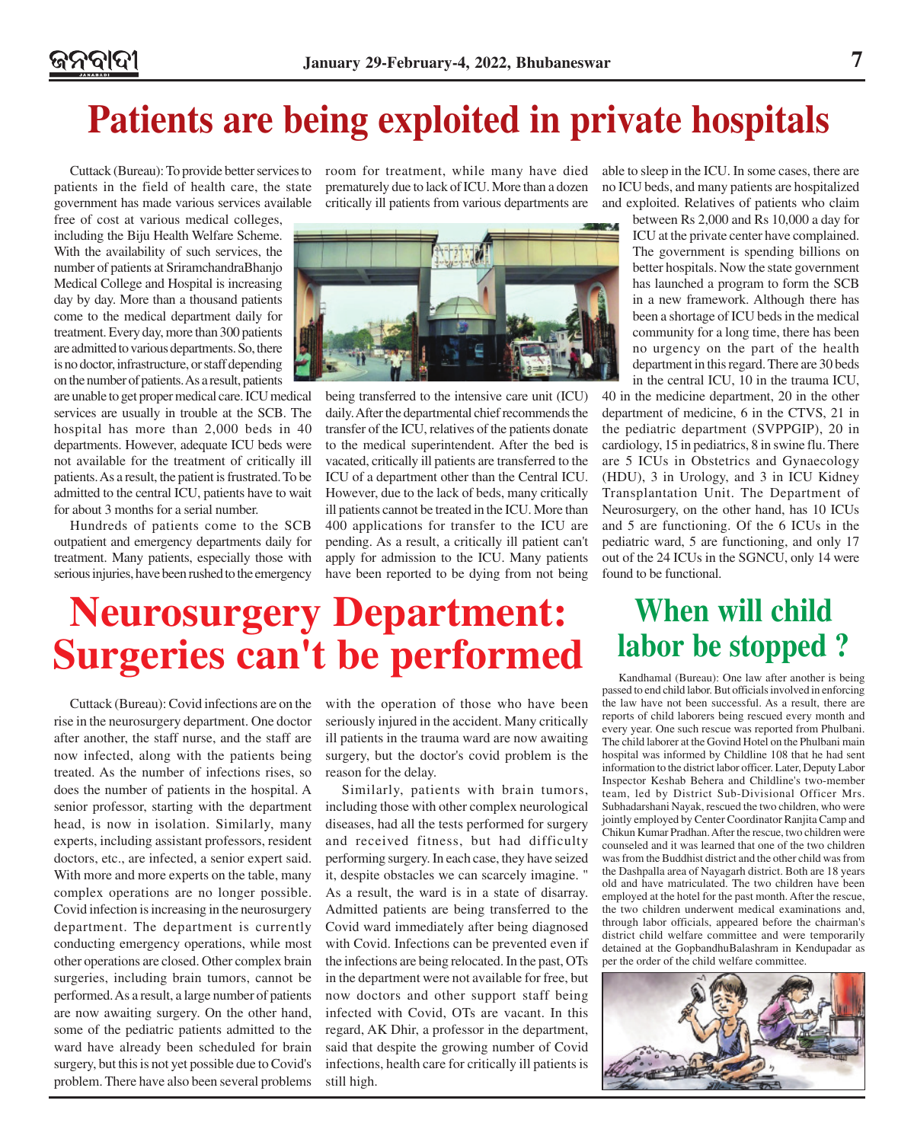### **Patients are being exploited in private hospitals**

Cuttack (Bureau): To provide better services to patients in the field of health care, the state government has made various services available

free of cost at various medical colleges, including the Biju Health Welfare Scheme. With the availability of such services, the number of patients at SriramchandraBhanjo Medical College and Hospital is increasing day by day. More than a thousand patients come to the medical department daily for treatment. Every day, more than 300 patients are admitted to various departments. So, there is no doctor, infrastructure, or staff depending on the number of patients. As a result, patients

are unable to get proper medical care. ICU medical services are usually in trouble at the SCB. The hospital has more than 2,000 beds in 40 departments. However, adequate ICU beds were not available for the treatment of critically ill patients. As a result, the patient is frustrated. To be admitted to the central ICU, patients have to wait for about 3 months for a serial number.

Hundreds of patients come to the SCB outpatient and emergency departments daily for treatment. Many patients, especially those with serious injuries, have been rushed to the emergency room for treatment, while many have died prematurely due to lack of ICU. More than a dozen critically ill patients from various departments are



being transferred to the intensive care unit (ICU) daily. After the departmental chief recommends the transfer of the ICU, relatives of the patients donate to the medical superintendent. After the bed is vacated, critically ill patients are transferred to the ICU of a department other than the Central ICU. However, due to the lack of beds, many critically ill patients cannot be treated in the ICU. More than 400 applications for transfer to the ICU are pending. As a result, a critically ill patient can't apply for admission to the ICU. Many patients have been reported to be dying from not being able to sleep in the ICU. In some cases, there are no ICU beds, and many patients are hospitalized and exploited. Relatives of patients who claim

> between Rs 2,000 and Rs 10,000 a day for ICU at the private center have complained. The government is spending billions on better hospitals. Now the state government has launched a program to form the SCB in a new framework. Although there has been a shortage of ICU beds in the medical community for a long time, there has been no urgency on the part of the health department in this regard. There are 30 beds in the central ICU, 10 in the trauma ICU,

40 in the medicine department, 20 in the other department of medicine, 6 in the CTVS, 21 in the pediatric department (SVPPGIP), 20 in cardiology, 15 in pediatrics, 8 in swine flu. There are 5 ICUs in Obstetrics and Gynaecology (HDU), 3 in Urology, and 3 in ICU Kidney Transplantation Unit. The Department of Neurosurgery, on the other hand, has 10 ICUs and 5 are functioning. Of the 6 ICUs in the pediatric ward, 5 are functioning, and only 17 out of the 24 ICUs in the SGNCU, only 14 were found to be functional.

### **Neurosurgery Department: Surgeries can't be performed**

Cuttack (Bureau): Covid infections are on the rise in the neurosurgery department. One doctor after another, the staff nurse, and the staff are now infected, along with the patients being treated. As the number of infections rises, so does the number of patients in the hospital. A senior professor, starting with the department head, is now in isolation. Similarly, many experts, including assistant professors, resident doctors, etc., are infected, a senior expert said. With more and more experts on the table, many complex operations are no longer possible. Covid infection is increasing in the neurosurgery department. The department is currently conducting emergency operations, while most other operations are closed. Other complex brain surgeries, including brain tumors, cannot be performed. As a result, a large number of patients are now awaiting surgery. On the other hand, some of the pediatric patients admitted to the ward have already been scheduled for brain surgery, but this is not yet possible due to Covid's problem. There have also been several problems

with the operation of those who have been seriously injured in the accident. Many critically ill patients in the trauma ward are now awaiting surgery, but the doctor's covid problem is the reason for the delay.

Similarly, patients with brain tumors, including those with other complex neurological diseases, had all the tests performed for surgery and received fitness, but had difficulty performing surgery. In each case, they have seized it, despite obstacles we can scarcely imagine. " As a result, the ward is in a state of disarray. Admitted patients are being transferred to the Covid ward immediately after being diagnosed with Covid. Infections can be prevented even if the infections are being relocated. In the past, OTs in the department were not available for free, but now doctors and other support staff being infected with Covid, OTs are vacant. In this regard, AK Dhir, a professor in the department, said that despite the growing number of Covid infections, health care for critically ill patients is still high.

### **When will child labor be stopped ?**

Kandhamal (Bureau): One law after another is being passed to end child labor. But officials involved in enforcing the law have not been successful. As a result, there are reports of child laborers being rescued every month and every year. One such rescue was reported from Phulbani. The child laborer at the Govind Hotel on the Phulbani main hospital was informed by Childline 108 that he had sent information to the district labor officer. Later, Deputy Labor Inspector Keshab Behera and Childline's two-member team, led by District Sub-Divisional Officer Mrs. Subhadarshani Nayak, rescued the two children, who were jointly employed by Center Coordinator Ranjita Camp and Chikun Kumar Pradhan. After the rescue, two children were counseled and it was learned that one of the two children was from the Buddhist district and the other child was from the Dashpalla area of Nayagarh district. Both are 18 years old and have matriculated. The two children have been employed at the hotel for the past month. After the rescue, the two children underwent medical examinations and, through labor officials, appeared before the chairman's district child welfare committee and were temporarily detained at the GopbandhuBalashram in Kendupadar as per the order of the child welfare committee.